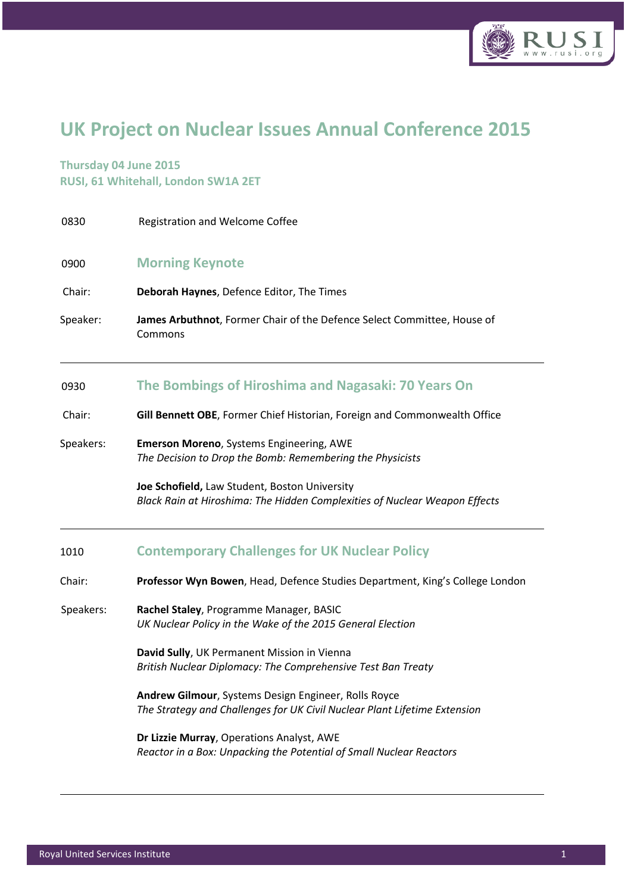

## UK Project on Nuclear Issues Annual Conference 2015

DR

## Thursday 04 June 2015 RUSI, 61 Whitehall, London SW1A 2ET

| 0830      | Registration and Welcome Coffee                                                                                                   |
|-----------|-----------------------------------------------------------------------------------------------------------------------------------|
| 0900      | <b>Morning Keynote</b>                                                                                                            |
| Chair:    | Deborah Haynes, Defence Editor, The Times                                                                                         |
| Speaker:  | James Arbuthnot, Former Chair of the Defence Select Committee, House of<br>Commons                                                |
| 0930      | The Bombings of Hiroshima and Nagasaki: 70 Years On                                                                               |
| Chair:    | Gill Bennett OBE, Former Chief Historian, Foreign and Commonwealth Office                                                         |
| Speakers: | Emerson Moreno, Systems Engineering, AWE<br>The Decision to Drop the Bomb: Remembering the Physicists                             |
|           | Joe Schofield, Law Student, Boston University<br>Black Rain at Hiroshima: The Hidden Complexities of Nuclear Weapon Effects       |
| 1010      | <b>Contemporary Challenges for UK Nuclear Policy</b>                                                                              |
| Chair:    | Professor Wyn Bowen, Head, Defence Studies Department, King's College London                                                      |
| Speakers: | Rachel Staley, Programme Manager, BASIC<br>UK Nuclear Policy in the Wake of the 2015 General Election                             |
|           | David Sully, UK Permanent Mission in Vienna<br>British Nuclear Diplomacy: The Comprehensive Test Ban Treaty                       |
|           | Andrew Gilmour, Systems Design Engineer, Rolls Royce<br>The Strategy and Challenges for UK Civil Nuclear Plant Lifetime Extension |
|           | Dr Lizzie Murray, Operations Analyst, AWE<br>Reactor in a Box: Unpacking the Potential of Small Nuclear Reactors                  |
|           |                                                                                                                                   |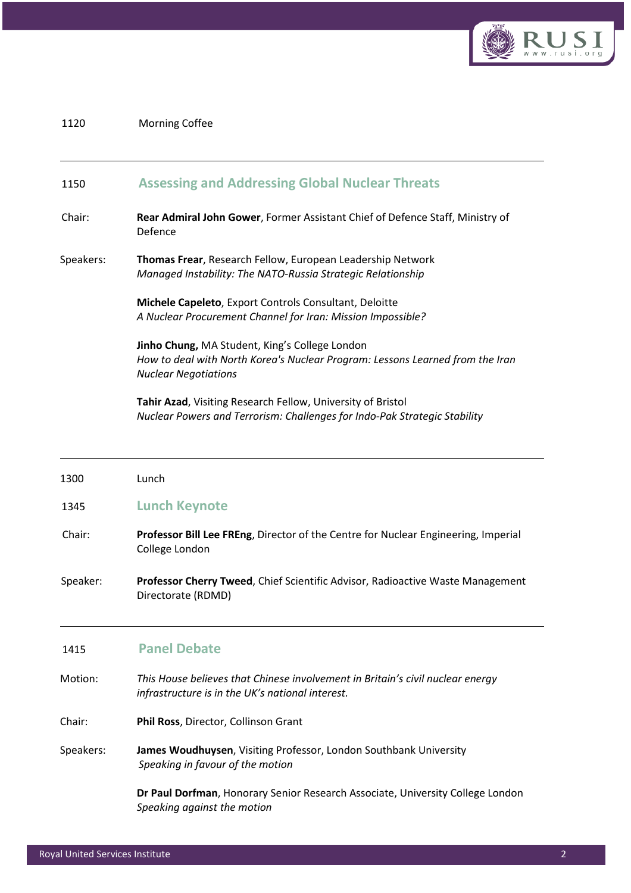

## 1120 Morning Coffee

## 1150 Assessing and Addressing Global Nuclear Threats

- Chair: Rear Admiral John Gower, Former Assistant Chief of Defence Staff, Ministry of Defence
- Speakers: Thomas Frear, Research Fellow, European Leadership Network Managed Instability: The NATO-Russia Strategic Relationship

 Michele Capeleto, Export Controls Consultant, Deloitte A Nuclear Procurement Channel for Iran: Mission Impossible?

 Jinho Chung, MA Student, King's College London How to deal with North Korea's Nuclear Program: Lessons Learned from the Iran Nuclear Negotiations

DR

 Tahir Azad, Visiting Research Fellow, University of Bristol Nuclear Powers and Terrorism: Challenges for Indo-Pak Strategic Stability

| 1300      | Lunch                                                                                                                              |
|-----------|------------------------------------------------------------------------------------------------------------------------------------|
| 1345      | <b>Lunch Keynote</b>                                                                                                               |
| Chair:    | Professor Bill Lee FREng, Director of the Centre for Nuclear Engineering, Imperial<br>College London                               |
| Speaker:  | Professor Cherry Tweed, Chief Scientific Advisor, Radioactive Waste Management<br>Directorate (RDMD)                               |
| 1415      | <b>Panel Debate</b>                                                                                                                |
| Motion:   | This House believes that Chinese involvement in Britain's civil nuclear energy<br>infrastructure is in the UK's national interest. |
| Chair:    | Phil Ross, Director, Collinson Grant                                                                                               |
| Speakers: | James Woudhuysen, Visiting Professor, London Southbank University<br>Speaking in favour of the motion                              |
|           | Dr Paul Dorfman, Honorary Senior Research Associate, University College London<br>Speaking against the motion                      |